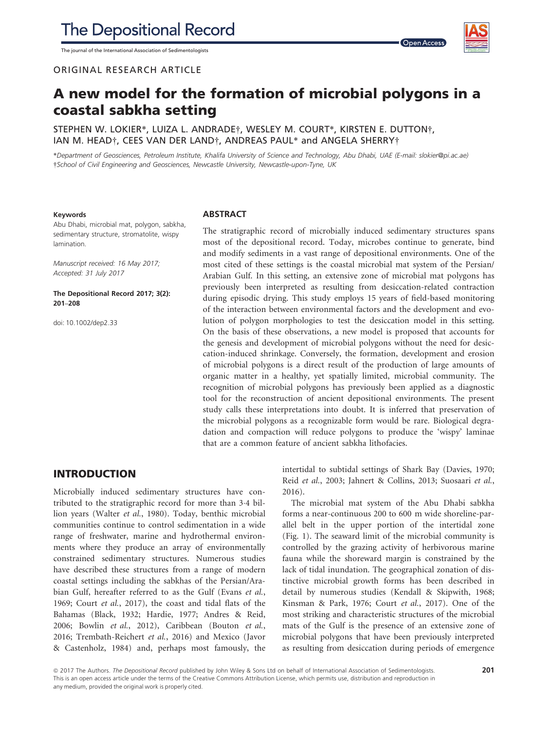The journal of the International Association of Sedimentologists

#### ORIGINAL RESEARCH ARTICLE



# A new model for the formation of microbial polygons in a coastal sabkha setting

STEPHEN W. LOKIER\*, LUIZA L. ANDRADE†, WESLEY M. COURT\*, KIRSTEN E. DUTTON†, IAN M. HEAD†, CEES VAN DER LAND†, ANDREAS PAUL\* and ANGELA SHERRY†

\*Department of Geosciences, Petroleum Institute, Khalifa University of Science and Technology, Abu Dhabi, UAE (E-mail: slokier@pi.ac.ae) †School of Civil Engineering and Geosciences, Newcastle University, Newcastle-upon-Tyne, UK

#### Keywords

Abu Dhabi, microbial mat, polygon, sabkha, sedimentary structure, stromatolite, wispy lamination.

Manuscript received: 16 May 2017; Accepted: 31 July 2017

The Depositional Record 2017; 3(2): 201–208

doi: 10.1002/dep2.33

#### ABSTRACT

The stratigraphic record of microbially induced sedimentary structures spans most of the depositional record. Today, microbes continue to generate, bind and modify sediments in a vast range of depositional environments. One of the most cited of these settings is the coastal microbial mat system of the Persian/ Arabian Gulf. In this setting, an extensive zone of microbial mat polygons has previously been interpreted as resulting from desiccation-related contraction during episodic drying. This study employs 15 years of field-based monitoring of the interaction between environmental factors and the development and evolution of polygon morphologies to test the desiccation model in this setting. On the basis of these observations, a new model is proposed that accounts for the genesis and development of microbial polygons without the need for desiccation-induced shrinkage. Conversely, the formation, development and erosion of microbial polygons is a direct result of the production of large amounts of organic matter in a healthy, yet spatially limited, microbial community. The recognition of microbial polygons has previously been applied as a diagnostic tool for the reconstruction of ancient depositional environments. The present study calls these interpretations into doubt. It is inferred that preservation of the microbial polygons as a recognizable form would be rare. Biological degradation and compaction will reduce polygons to produce the 'wispy' laminae that are a common feature of ancient sabkha lithofacies.

# INTRODUCTION

Microbially induced sedimentary structures have contributed to the stratigraphic record for more than 3.4 billion years (Walter et al., 1980). Today, benthic microbial communities continue to control sedimentation in a wide range of freshwater, marine and hydrothermal environments where they produce an array of environmentally constrained sedimentary structures. Numerous studies have described these structures from a range of modern coastal settings including the sabkhas of the Persian/Arabian Gulf, hereafter referred to as the Gulf (Evans et al., 1969; Court et al., 2017), the coast and tidal flats of the Bahamas (Black, 1932; Hardie, 1977; Andres & Reid, 2006; Bowlin et al., 2012), Caribbean (Bouton et al., 2016; Trembath-Reichert et al., 2016) and Mexico (Javor & Castenholz, 1984) and, perhaps most famously, the intertidal to subtidal settings of Shark Bay (Davies, 1970; Reid et al., 2003; Jahnert & Collins, 2013; Suosaari et al., 2016).

The microbial mat system of the Abu Dhabi sabkha forms a near-continuous 200 to 600 m wide shoreline-parallel belt in the upper portion of the intertidal zone (Fig. 1). The seaward limit of the microbial community is controlled by the grazing activity of herbivorous marine fauna while the shoreward margin is constrained by the lack of tidal inundation. The geographical zonation of distinctive microbial growth forms has been described in detail by numerous studies (Kendall & Skipwith, 1968; Kinsman & Park, 1976; Court et al., 2017). One of the most striking and characteristic structures of the microbial mats of the Gulf is the presence of an extensive zone of microbial polygons that have been previously interpreted as resulting from desiccation during periods of emergence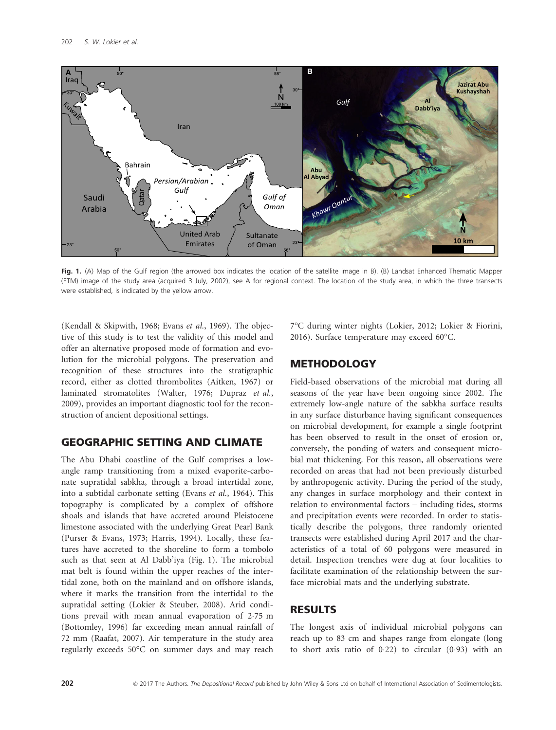

Fig. 1. (A) Map of the Gulf region (the arrowed box indicates the location of the satellite image in B). (B) Landsat Enhanced Thematic Mapper (ETM) image of the study area (acquired 3 July, 2002), see A for regional context. The location of the study area, in which the three transects were established, is indicated by the yellow arrow.

(Kendall & Skipwith, 1968; Evans et al., 1969). The objective of this study is to test the validity of this model and offer an alternative proposed mode of formation and evolution for the microbial polygons. The preservation and recognition of these structures into the stratigraphic record, either as clotted thrombolites (Aitken, 1967) or laminated stromatolites (Walter, 1976; Dupraz et al., 2009), provides an important diagnostic tool for the reconstruction of ancient depositional settings.

# GEOGRAPHIC SETTING AND CLIMATE

The Abu Dhabi coastline of the Gulf comprises a lowangle ramp transitioning from a mixed evaporite-carbonate supratidal sabkha, through a broad intertidal zone, into a subtidal carbonate setting (Evans et al., 1964). This topography is complicated by a complex of offshore shoals and islands that have accreted around Pleistocene limestone associated with the underlying Great Pearl Bank (Purser & Evans, 1973; Harris, 1994). Locally, these features have accreted to the shoreline to form a tombolo such as that seen at Al Dabb'iya (Fig. 1). The microbial mat belt is found within the upper reaches of the intertidal zone, both on the mainland and on offshore islands, where it marks the transition from the intertidal to the supratidal setting (Lokier & Steuber, 2008). Arid conditions prevail with mean annual evaporation of 275 m (Bottomley, 1996) far exceeding mean annual rainfall of 72 mm (Raafat, 2007). Air temperature in the study area regularly exceeds 50°C on summer days and may reach 7°C during winter nights (Lokier, 2012; Lokier & Fiorini, 2016). Surface temperature may exceed 60°C.

# **METHODOLOGY**

Field-based observations of the microbial mat during all seasons of the year have been ongoing since 2002. The extremely low-angle nature of the sabkha surface results in any surface disturbance having significant consequences on microbial development, for example a single footprint has been observed to result in the onset of erosion or, conversely, the ponding of waters and consequent microbial mat thickening. For this reason, all observations were recorded on areas that had not been previously disturbed by anthropogenic activity. During the period of the study, any changes in surface morphology and their context in relation to environmental factors – including tides, storms and precipitation events were recorded. In order to statistically describe the polygons, three randomly oriented transects were established during April 2017 and the characteristics of a total of 60 polygons were measured in detail. Inspection trenches were dug at four localities to facilitate examination of the relationship between the surface microbial mats and the underlying substrate.

# RESULTS

The longest axis of individual microbial polygons can reach up to 83 cm and shapes range from elongate (long to short axis ratio of  $0.22$ ) to circular  $(0.93)$  with an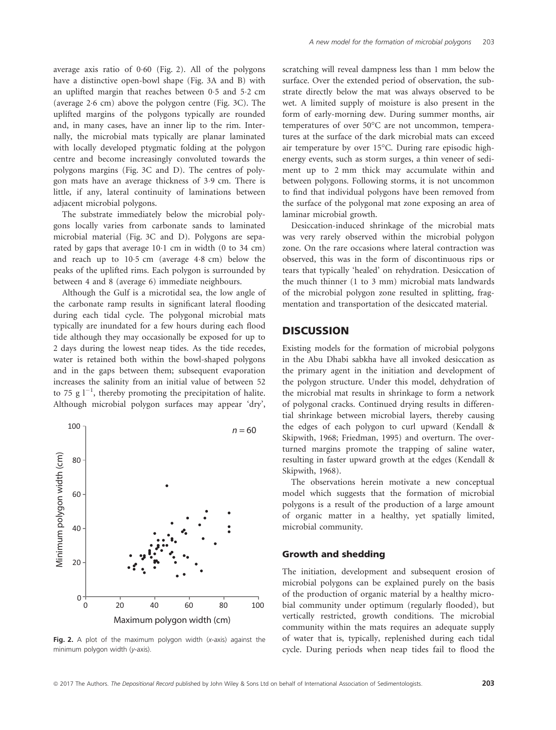average axis ratio of 0.60 (Fig. 2). All of the polygons have a distinctive open-bowl shape (Fig. 3A and B) with an uplifted margin that reaches between 0.5 and 5.2 cm (average  $2.6$  cm) above the polygon centre (Fig. 3C). The uplifted margins of the polygons typically are rounded and, in many cases, have an inner lip to the rim. Internally, the microbial mats typically are planar laminated with locally developed ptygmatic folding at the polygon centre and become increasingly convoluted towards the polygons margins (Fig. 3C and D). The centres of polygon mats have an average thickness of 39 cm. There is little, if any, lateral continuity of laminations between adjacent microbial polygons.

The substrate immediately below the microbial polygons locally varies from carbonate sands to laminated microbial material (Fig. 3C and D). Polygons are separated by gaps that average  $10 \cdot 1$  cm in width (0 to 34 cm) and reach up to 105 cm (average 48 cm) below the peaks of the uplifted rims. Each polygon is surrounded by between 4 and 8 (average 6) immediate neighbours.

Although the Gulf is a microtidal sea, the low angle of the carbonate ramp results in significant lateral flooding during each tidal cycle. The polygonal microbial mats typically are inundated for a few hours during each flood tide although they may occasionally be exposed for up to 2 days during the lowest neap tides. As the tide recedes, water is retained both within the bowl-shaped polygons and in the gaps between them; subsequent evaporation increases the salinity from an initial value of between 52 to 75 g  $l^{-1}$ , thereby promoting the precipitation of halite. Although microbial polygon surfaces may appear 'dry',



Fig. 2. A plot of the maximum polygon width (x-axis) against the minimum polygon width (y-axis).

scratching will reveal dampness less than 1 mm below the surface. Over the extended period of observation, the substrate directly below the mat was always observed to be wet. A limited supply of moisture is also present in the form of early-morning dew. During summer months, air temperatures of over 50°C are not uncommon, temperatures at the surface of the dark microbial mats can exceed air temperature by over 15°C. During rare episodic highenergy events, such as storm surges, a thin veneer of sediment up to 2 mm thick may accumulate within and between polygons. Following storms, it is not uncommon to find that individual polygons have been removed from the surface of the polygonal mat zone exposing an area of laminar microbial growth.

Desiccation-induced shrinkage of the microbial mats was very rarely observed within the microbial polygon zone. On the rare occasions where lateral contraction was observed, this was in the form of discontinuous rips or tears that typically 'healed' on rehydration. Desiccation of the much thinner (1 to 3 mm) microbial mats landwards of the microbial polygon zone resulted in splitting, fragmentation and transportation of the desiccated material.

### **DISCUSSION**

Existing models for the formation of microbial polygons in the Abu Dhabi sabkha have all invoked desiccation as the primary agent in the initiation and development of the polygon structure. Under this model, dehydration of the microbial mat results in shrinkage to form a network of polygonal cracks. Continued drying results in differential shrinkage between microbial layers, thereby causing the edges of each polygon to curl upward (Kendall & Skipwith, 1968; Friedman, 1995) and overturn. The overturned margins promote the trapping of saline water, resulting in faster upward growth at the edges (Kendall & Skipwith, 1968).

The observations herein motivate a new conceptual model which suggests that the formation of microbial polygons is a result of the production of a large amount of organic matter in a healthy, yet spatially limited, microbial community.

#### Growth and shedding

The initiation, development and subsequent erosion of microbial polygons can be explained purely on the basis of the production of organic material by a healthy microbial community under optimum (regularly flooded), but vertically restricted, growth conditions. The microbial community within the mats requires an adequate supply of water that is, typically, replenished during each tidal cycle. During periods when neap tides fail to flood the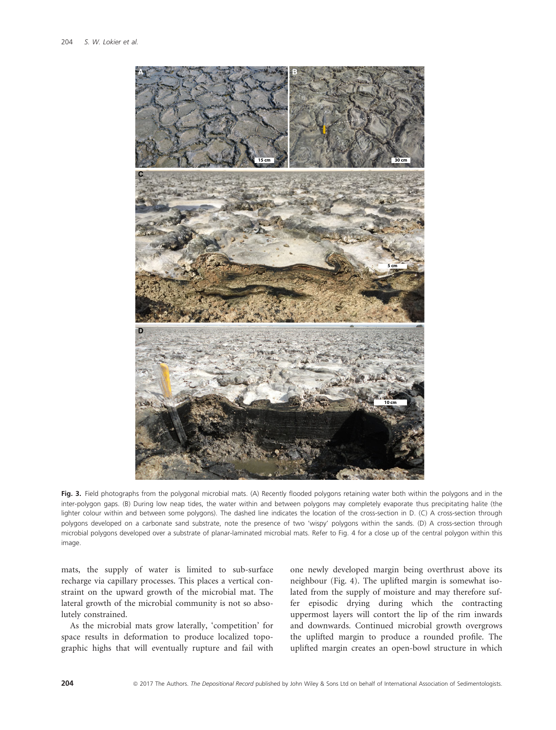

Fig. 3. Field photographs from the polygonal microbial mats. (A) Recently flooded polygons retaining water both within the polygons and in the inter-polygon gaps. (B) During low neap tides, the water within and between polygons may completely evaporate thus precipitating halite (the lighter colour within and between some polygons). The dashed line indicates the location of the cross-section in D. (C) A cross-section through polygons developed on a carbonate sand substrate, note the presence of two 'wispy' polygons within the sands. (D) A cross-section through microbial polygons developed over a substrate of planar-laminated microbial mats. Refer to Fig. 4 for a close up of the central polygon within this image.

mats, the supply of water is limited to sub-surface recharge via capillary processes. This places a vertical constraint on the upward growth of the microbial mat. The lateral growth of the microbial community is not so absolutely constrained.

As the microbial mats grow laterally, 'competition' for space results in deformation to produce localized topographic highs that will eventually rupture and fail with one newly developed margin being overthrust above its neighbour (Fig. 4). The uplifted margin is somewhat isolated from the supply of moisture and may therefore suffer episodic drying during which the contracting uppermost layers will contort the lip of the rim inwards and downwards. Continued microbial growth overgrows the uplifted margin to produce a rounded profile. The uplifted margin creates an open-bowl structure in which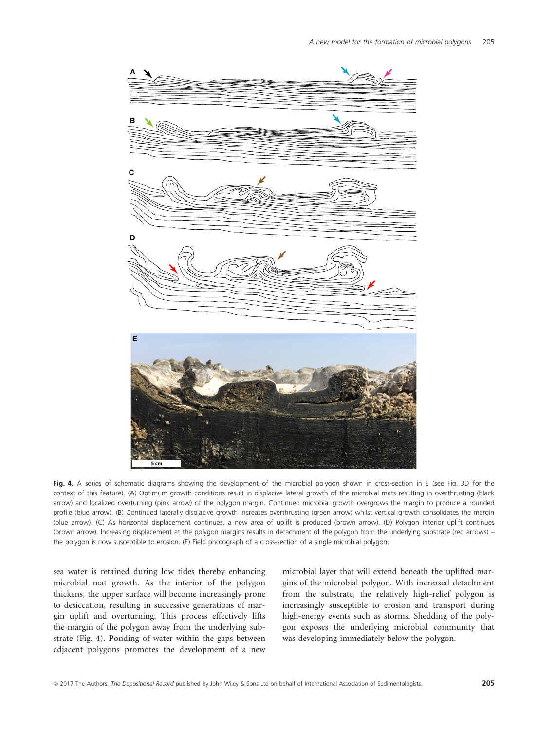

Fig. 4. A series of schematic diagrams showing the development of the microbial polygon shown in cross-section in E (see Fig. 3D for the context of this feature). (A) Optimum growth conditions result in displacive lateral growth of the microbial mats resulting in overthrusting (black arrow) and localized overturning (pink arrow) of the polygon margin. Continued microbial growth overgrows the margin to produce a rounded profile (blue arrow). (B) Continued laterally displacive growth increases overthrusting (green arrow) whilst vertical growth consolidates the margin (blue arrow). (C) As horizontal displacement continues, a new area of uplift is produced (brown arrow). (D) Polygon interior uplift continues (brown arrow). Increasing displacement at the polygon margins results in detachment of the polygon from the underlying substrate (red arrows) – the polygon is now susceptible to erosion. (E) Field photograph of a cross-section of a single microbial polygon.

sea water is retained during low tides thereby enhancing microbial mat growth. As the interior of the polygon thickens, the upper surface will become increasingly prone to desiccation, resulting in successive generations of margin uplift and overturning. This process effectively lifts the margin of the polygon away from the underlying substrate (Fig. 4). Ponding of water within the gaps between adjacent polygons promotes the development of a new

microbial layer that will extend beneath the uplifted margins of the microbial polygon. With increased detachment from the substrate, the relatively high-relief polygon is increasingly susceptible to erosion and transport during high-energy events such as storms. Shedding of the polygon exposes the underlying microbial community that was developing immediately below the polygon.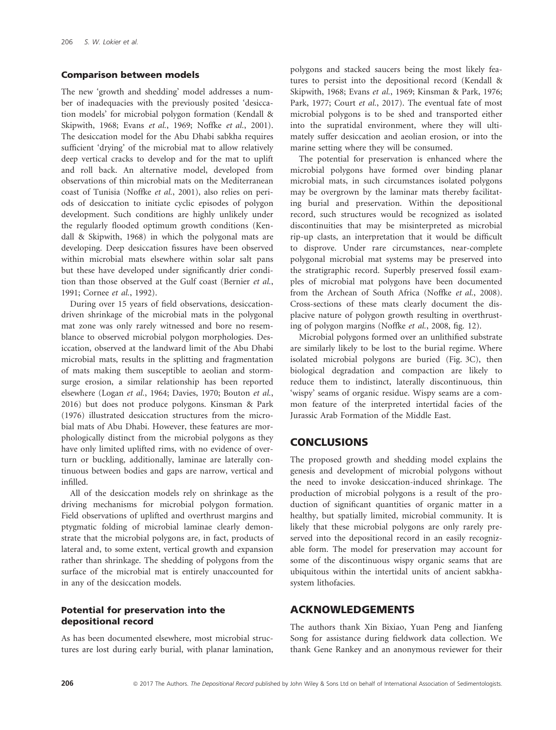#### Comparison between models

The new 'growth and shedding' model addresses a number of inadequacies with the previously posited 'desiccation models' for microbial polygon formation (Kendall & Skipwith, 1968; Evans et al., 1969; Noffke et al., 2001). The desiccation model for the Abu Dhabi sabkha requires sufficient 'drying' of the microbial mat to allow relatively deep vertical cracks to develop and for the mat to uplift and roll back. An alternative model, developed from observations of thin microbial mats on the Mediterranean coast of Tunisia (Noffke et al., 2001), also relies on periods of desiccation to initiate cyclic episodes of polygon development. Such conditions are highly unlikely under the regularly flooded optimum growth conditions (Kendall & Skipwith, 1968) in which the polygonal mats are developing. Deep desiccation fissures have been observed within microbial mats elsewhere within solar salt pans but these have developed under significantly drier condition than those observed at the Gulf coast (Bernier et al., 1991; Cornee et al., 1992).

During over 15 years of field observations, desiccationdriven shrinkage of the microbial mats in the polygonal mat zone was only rarely witnessed and bore no resemblance to observed microbial polygon morphologies. Desiccation, observed at the landward limit of the Abu Dhabi microbial mats, results in the splitting and fragmentation of mats making them susceptible to aeolian and stormsurge erosion, a similar relationship has been reported elsewhere (Logan et al., 1964; Davies, 1970; Bouton et al., 2016) but does not produce polygons. Kinsman & Park (1976) illustrated desiccation structures from the microbial mats of Abu Dhabi. However, these features are morphologically distinct from the microbial polygons as they have only limited uplifted rims, with no evidence of overturn or buckling, additionally, laminae are laterally continuous between bodies and gaps are narrow, vertical and infilled.

All of the desiccation models rely on shrinkage as the driving mechanisms for microbial polygon formation. Field observations of uplifted and overthrust margins and ptygmatic folding of microbial laminae clearly demonstrate that the microbial polygons are, in fact, products of lateral and, to some extent, vertical growth and expansion rather than shrinkage. The shedding of polygons from the surface of the microbial mat is entirely unaccounted for in any of the desiccation models.

### Potential for preservation into the depositional record

As has been documented elsewhere, most microbial structures are lost during early burial, with planar lamination, polygons and stacked saucers being the most likely features to persist into the depositional record (Kendall & Skipwith, 1968; Evans et al., 1969; Kinsman & Park, 1976; Park, 1977; Court et al., 2017). The eventual fate of most microbial polygons is to be shed and transported either into the supratidal environment, where they will ultimately suffer desiccation and aeolian erosion, or into the marine setting where they will be consumed.

The potential for preservation is enhanced where the microbial polygons have formed over binding planar microbial mats, in such circumstances isolated polygons may be overgrown by the laminar mats thereby facilitating burial and preservation. Within the depositional record, such structures would be recognized as isolated discontinuities that may be misinterpreted as microbial rip-up clasts, an interpretation that it would be difficult to disprove. Under rare circumstances, near-complete polygonal microbial mat systems may be preserved into the stratigraphic record. Superbly preserved fossil examples of microbial mat polygons have been documented from the Archean of South Africa (Noffke et al., 2008). Cross-sections of these mats clearly document the displacive nature of polygon growth resulting in overthrusting of polygon margins (Noffke et al., 2008, fig. 12).

Microbial polygons formed over an unlithified substrate are similarly likely to be lost to the burial regime. Where isolated microbial polygons are buried (Fig. 3C), then biological degradation and compaction are likely to reduce them to indistinct, laterally discontinuous, thin 'wispy' seams of organic residue. Wispy seams are a common feature of the interpreted intertidal facies of the Jurassic Arab Formation of the Middle East.

## **CONCLUSIONS**

The proposed growth and shedding model explains the genesis and development of microbial polygons without the need to invoke desiccation-induced shrinkage. The production of microbial polygons is a result of the production of significant quantities of organic matter in a healthy, but spatially limited, microbial community. It is likely that these microbial polygons are only rarely preserved into the depositional record in an easily recognizable form. The model for preservation may account for some of the discontinuous wispy organic seams that are ubiquitous within the intertidal units of ancient sabkhasystem lithofacies.

# ACKNOWLEDGEMENTS

The authors thank Xin Bixiao, Yuan Peng and Jianfeng Song for assistance during fieldwork data collection. We thank Gene Rankey and an anonymous reviewer for their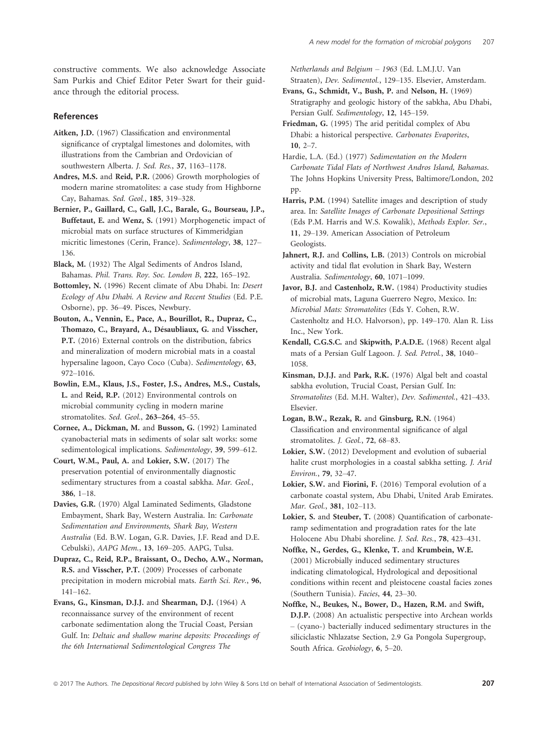constructive comments. We also acknowledge Associate Sam Purkis and Chief Editor Peter Swart for their guidance through the editorial process.

#### References

Aitken, J.D. (1967) Classification and environmental significance of cryptalgal limestones and dolomites, with illustrations from the Cambrian and Ordovician of southwestern Alberta. J. Sed. Res., 37, 1163–1178.

Andres, M.S. and Reid, P.R. (2006) Growth morphologies of modern marine stromatolites: a case study from Highborne Cay, Bahamas. Sed. Geol., 185, 319–328.

Bernier, P., Gaillard, C., Gall, J.C., Barale, G., Bourseau, J.P., Buffetaut, E. and Wenz, S. (1991) Morphogenetic impact of microbial mats on surface structures of Kimmeridgian micritic limestones (Cerin, France). Sedimentology, 38, 127– 136.

Black, M. (1932) The Algal Sediments of Andros Island, Bahamas. Phil. Trans. Roy. Soc. London B, 222, 165–192.

Bottomley, N. (1996) Recent climate of Abu Dhabi. In: Desert Ecology of Abu Dhabi. A Review and Recent Studies (Ed. P.E. Osborne), pp. 36–49. Pisces, Newbury.

Bouton, A., Vennin, E., Pace, A., Bourillot, R., Dupraz, C., Thomazo, C., Brayard, A., Désaubliaux, G. and Visscher, P.T. (2016) External controls on the distribution, fabrics and mineralization of modern microbial mats in a coastal hypersaline lagoon, Cayo Coco (Cuba). Sedimentology, 63, 972–1016.

Bowlin, E.M., Klaus, J.S., Foster, J.S., Andres, M.S., Custals, L. and Reid, R.P. (2012) Environmental controls on microbial community cycling in modern marine stromatolites. Sed. Geol., 263–264, 45–55.

Cornee, A., Dickman, M. and Busson, G. (1992) Laminated cyanobacterial mats in sediments of solar salt works: some sedimentological implications. Sedimentology, 39, 599–612.

Court, W.M., Paul, A. and Lokier, S.W. (2017) The preservation potential of environmentally diagnostic sedimentary structures from a coastal sabkha. Mar. Geol., 386, 1–18.

Davies, G.R. (1970) Algal Laminated Sediments, Gladstone Embayment, Shark Bay, Western Australia. In: Carbonate Sedimentation and Environments, Shark Bay, Western Australia (Ed. B.W. Logan, G.R. Davies, J.F. Read and D.E. Cebulski), AAPG Mem., 13, 169–205. AAPG, Tulsa.

Dupraz, C., Reid, R.P., Braissant, O., Decho, A.W., Norman, R.S. and Visscher, P.T. (2009) Processes of carbonate precipitation in modern microbial mats. Earth Sci. Rev., 96, 141–162.

Evans, G., Kinsman, D.J.J. and Shearman, D.J. (1964) A reconnaissance survey of the environment of recent carbonate sedimentation along the Trucial Coast, Persian Gulf. In: Deltaic and shallow marine deposits: Proceedings of the 6th International Sedimentological Congress The

Netherlands and Belgium – 1963 (Ed. L.M.J.U. Van Straaten), Dev. Sedimentol., 129–135. Elsevier, Amsterdam.

Evans, G., Schmidt, V., Bush, P. and Nelson, H. (1969) Stratigraphy and geologic history of the sabkha, Abu Dhabi, Persian Gulf. Sedimentology, 12, 145–159.

Friedman, G. (1995) The arid peritidal complex of Abu Dhabi: a historical perspective. Carbonates Evaporites, 10, 2–7.

Hardie, L.A. (Ed.) (1977) Sedimentation on the Modern Carbonate Tidal Flats of Northwest Andros Island, Bahamas. The Johns Hopkins University Press, Baltimore/London, 202 pp.

Harris, P.M. (1994) Satellite images and description of study area. In: Satellite Images of Carbonate Depositional Settings (Eds P.M. Harris and W.S. Kowalik), Methods Explor. Ser., 11, 29–139. American Association of Petroleum Geologists.

Jahnert, R.J. and Collins, L.B. (2013) Controls on microbial activity and tidal flat evolution in Shark Bay, Western Australia. Sedimentology, 60, 1071–1099.

Javor, B.J. and Castenholz, R.W. (1984) Productivity studies of microbial mats, Laguna Guerrero Negro, Mexico. In: Microbial Mats: Stromatolites (Eds Y. Cohen, R.W. Castenholtz and H.O. Halvorson), pp. 149–170. Alan R. Liss Inc., New York.

Kendall, C.G.S.C. and Skipwith, P.A.D.E. (1968) Recent algal mats of a Persian Gulf Lagoon. J. Sed. Petrol., 38, 1040– 1058.

Kinsman, D.J.J. and Park, R.K. (1976) Algal belt and coastal sabkha evolution, Trucial Coast, Persian Gulf. In: Stromatolites (Ed. M.H. Walter), Dev. Sedimentol., 421–433. Elsevier.

Logan, B.W., Rezak, R. and Ginsburg, R.N. (1964) Classification and environmental significance of algal stromatolites. J. Geol., 72, 68–83.

Lokier, S.W. (2012) Development and evolution of subaerial halite crust morphologies in a coastal sabkha setting. J. Arid Environ., 79, 32–47.

Lokier, S.W. and Fiorini, F. (2016) Temporal evolution of a carbonate coastal system, Abu Dhabi, United Arab Emirates. Mar. Geol., 381, 102–113.

Lokier, S. and Steuber, T. (2008) Quantification of carbonateramp sedimentation and progradation rates for the late Holocene Abu Dhabi shoreline. J. Sed. Res., 78, 423–431.

Noffke, N., Gerdes, G., Klenke, T. and Krumbein, W.E. (2001) Microbially induced sedimentary structures indicating climatological, Hydrological and depositional conditions within recent and pleistocene coastal facies zones (Southern Tunisia). Facies, 44, 23–30.

Noffke, N., Beukes, N., Bower, D., Hazen, R.M. and Swift, D.J.P. (2008) An actualistic perspective into Archean worlds – (cyano-) bacterially induced sedimentary structures in the siliciclastic Nhlazatse Section, 2.9 Ga Pongola Supergroup, South Africa. Geobiology, 6, 5–20.